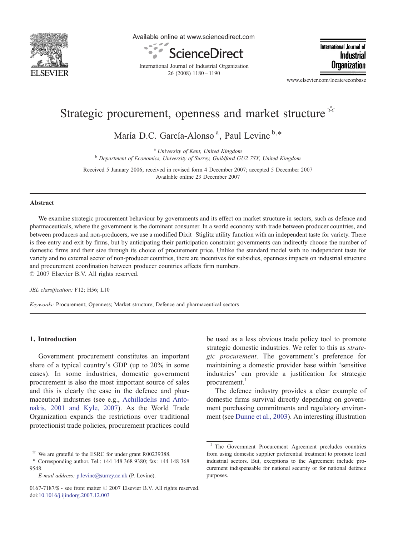

Available online at www.sciencedirect.com



International Journal of Industrial Organization 26 (2008) 1180–1190

International Journal of Industrial Organization

www.elsevier.com/locate/econbase

## Strategic procurement, openness and market structure  $\lambda$

María D.C. García-Alonso<sup>a</sup>, Paul Levine<sup>b,\*</sup>

<sup>a</sup> University of Kent, United Kingdom<br><sup>b</sup> Department of Economics, University of Surrey, Guildford GU2 7SX, United Kingdom

Received 5 January 2006; received in revised form 4 December 2007; accepted 5 December 2007 Available online 23 December 2007

## Abstract

We examine strategic procurement behaviour by governments and its effect on market structure in sectors, such as defence and pharmaceuticals, where the government is the dominant consumer. In a world economy with trade between producer countries, and between producers and non-producers, we use a modified Dixit–Stiglitz utility function with an independent taste for variety. There is free entry and exit by firms, but by anticipating their participation constraint governments can indirectly choose the number of domestic firms and their size through its choice of procurement price. Unlike the standard model with no independent taste for variety and no external sector of non-producer countries, there are incentives for subsidies, openness impacts on industrial structure and procurement coordination between producer countries affects firm numbers.

© 2007 Elsevier B.V. All rights reserved.

JEL classification: F12; H56; L10

Keywords: Procurement; Openness; Market structure; Defence and pharmaceutical sectors

## 1. Introduction

Government procurement constitutes an important share of a typical country's GDP (up to 20% in some cases). In some industries, domestic government procurement is also the most important source of sales and this is clearly the case in the defence and pharmaceutical industries (see e.g., [Achilladelis and Anto](#page--1-0)[nakis, 2001 and Kyle, 2007](#page--1-0)). As the World Trade Organization expands the restrictions over traditional protectionist trade policies, procurement practices could

be used as a less obvious trade policy tool to promote strategic domestic industries. We refer to this as strategic procurement. The government's preference for maintaining a domestic provider base within 'sensitive industries' can provide a justification for strategic procurement.<sup>1</sup>

The defence industry provides a clear example of domestic firms survival directly depending on government purchasing commitments and regulatory environment (see [Dunne et al., 2003\)](#page--1-0). An interesting illustration

We are grateful to the ESRC for under grant R00239388.

<sup>⁎</sup> Corresponding author. Tel.: +44 148 368 9380; fax: +44 148 368 9548.

E-mail address: [p.levine@surrey.ac.uk](mailto:p.levine@surrey.ac.uk) (P. Levine).

<sup>0167-7187/\$ -</sup> see front matter © 2007 Elsevier B.V. All rights reserved. doi[:10.1016/j.ijindorg.2007.12.003](http://dx.doi.org/10.1016/j.ijindorg.2007.12.003)

<sup>1</sup> The Government Procurement Agreement precludes countries from using domestic supplier preferential treatment to promote local industrial sectors. But, exceptions to the Agreement include procurement indispensable for national security or for national defence purposes.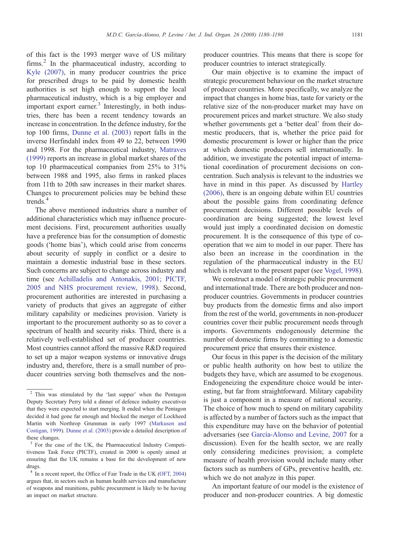of this fact is the 1993 merger wave of US military firms.<sup>2</sup> In the pharmaceutical industry, according to [Kyle \(2007\)](#page--1-0), in many producer countries the price for prescribed drugs to be paid by domestic health authorities is set high enough to support the local pharmaceutical industry, which is a big employer and important export earner.<sup>3</sup> Interestingly, in both industries, there has been a recent tendency towards an increase in concentration. In the defence industry, for the top 100 firms, [Dunne et al. \(2003\)](#page--1-0) report falls in the inverse Herfindahl index from 49 to 22, between 1990 and 1998. For the pharmaceutical industry, [Matraves](#page--1-0) [\(1999\)](#page--1-0) reports an increase in global market shares of the top 10 pharmaceutical companies from 25% to 31% between 1988 and 1995, also firms in ranked places from 11th to 20th saw increases in their market shares. Changes to procurement policies may be behind these trends.<sup>4</sup>

The above mentioned industries share a number of additional characteristics which may influence procurement decisions. First, procurement authorities usually have a preference bias for the consumption of domestic goods ('home bias'), which could arise from concerns about security of supply in conflict or a desire to maintain a domestic industrial base in these sectors. Such concerns are subject to change across industry and time (see [Achilladelis and Antonakis, 2001; PICTF,](#page--1-0) [2005 and NHS procurement review, 1998](#page--1-0)). Second, procurement authorities are interested in purchasing a variety of products that gives an aggregate of either military capability or medicines provision. Variety is important to the procurement authority so as to cover a spectrum of health and security risks. Third, there is a relatively well-established set of producer countries. Most countries cannot afford the massive R&D required to set up a major weapon systems or innovative drugs industry and, therefore, there is a small number of producer countries serving both themselves and the nonproducer countries. This means that there is scope for producer countries to interact strategically.

Our main objective is to examine the impact of strategic procurement behaviour on the market structure of producer countries. More specifically, we analyze the impact that changes in home bias, taste for variety or the relative size of the non-producer market may have on procurement prices and market structure. We also study whether governments get a 'better deal' from their domestic producers, that is, whether the price paid for domestic procurement is lower or higher than the price at which domestic producers sell internationally. In addition, we investigate the potential impact of international coordination of procurement decisions on concentration. Such analysis is relevant to the industries we have in mind in this paper. As discussed by [Hartley](#page--1-0) [\(2006\)](#page--1-0), there is an ongoing debate within EU countries about the possible gains from coordinating defence procurement decisions. Different possible levels of coordination are being suggested; the lowest level would just imply a coordinated decision on domestic procurement. It is the consequence of this type of cooperation that we aim to model in our paper. There has also been an increase in the coordination in the regulation of the pharmaceutical industry in the EU which is relevant to the present paper (see [Vogel, 1998](#page--1-0)).

We construct a model of strategic public procurement and international trade. There are both producer and nonproducer countries. Governments in producer countries buy products from the domestic firms and also import from the rest of the world, governments in non-producer countries cover their public procurement needs through imports. Governments endogenously determine the number of domestic firms by committing to a domestic procurement price that ensures their existence.

Our focus in this paper is the decision of the military or public health authority on how best to utilize the budgets they have, which are assumed to be exogenous. Endogeneizing the expenditure choice would be interesting, but far from straightforward. Military capability is just a component in a measure of national security. The choice of how much to spend on military capability is affected by a number of factors such as the impact that this expenditure may have on the behavior of potential adversaries (see [García-Alonso and Levine, 2007](#page--1-0) for a discussion). Even for the health sector, we are really only considering medicines provision; a complete measure of health provision would include many other factors such as numbers of GPs, preventive health, etc. which we do not analyze in this paper.

An important feature of our model is the existence of producer and non-producer countries. A big domestic

<sup>&</sup>lt;sup>2</sup> This was stimulated by the 'last supper' when the Pentagon Deputy Secretary Perry told a dinner of defence industry executives that they were expected to start merging. It ended when the Pentagon decided it had gone far enough and blocked the merger of Lockheed Martin with Northrop Grumman in early 1997 ([Markusen and](#page--1-0) [Costigan, 1999\)](#page--1-0). [Dunne et al. \(2003\)](#page--1-0) provide a detailed description of these changes.

<sup>&</sup>lt;sup>3</sup> For the case of the UK, the Pharmaceutical Industry Competitiveness Task Force (PICTF), created in 2000 is openly aimed at ensuring that the UK remains a base for the development of new drugs.

<sup>4</sup> In a recent report, the Office of Fair Trade in the UK [\(OFT, 2004](#page--1-0)) argues that, in sectors such as human health services and manufacture of weapons and munitions, public procurement is likely to be having an impact on market structure.